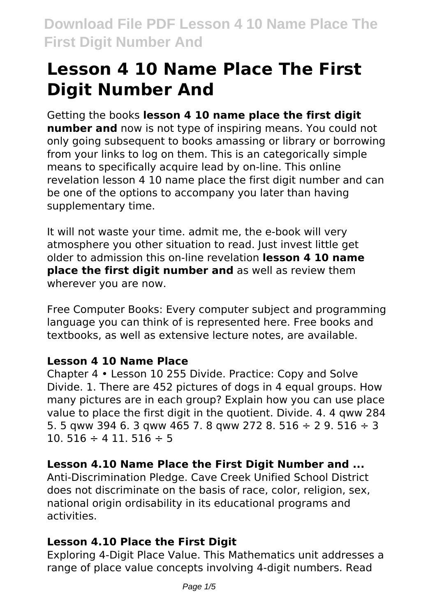# **Lesson 4 10 Name Place The First Digit Number And**

Getting the books **lesson 4 10 name place the first digit number and** now is not type of inspiring means. You could not only going subsequent to books amassing or library or borrowing from your links to log on them. This is an categorically simple means to specifically acquire lead by on-line. This online revelation lesson 4 10 name place the first digit number and can be one of the options to accompany you later than having supplementary time.

It will not waste your time. admit me, the e-book will very atmosphere you other situation to read. Just invest little get older to admission this on-line revelation **lesson 4 10 name place the first digit number and** as well as review them wherever you are now.

Free Computer Books: Every computer subject and programming language you can think of is represented here. Free books and textbooks, as well as extensive lecture notes, are available.

# **Lesson 4 10 Name Place**

Chapter 4 • Lesson 10 255 Divide. Practice: Copy and Solve Divide. 1. There are 452 pictures of dogs in 4 equal groups. How many pictures are in each group? Explain how you can use place value to place the first digit in the quotient. Divide. 4. 4 qww 284 5. 5 gww 394 6. 3 gww 465 7. 8 gww 272 8. 516  $\div$  2 9. 516  $\div$  3 10. 516  $\div$  4 11. 516  $\div$  5

# **Lesson 4.10 Name Place the First Digit Number and ...**

Anti-Discrimination Pledge. Cave Creek Unified School District does not discriminate on the basis of race, color, religion, sex, national origin ordisability in its educational programs and activities.

# **Lesson 4.10 Place the First Digit**

Exploring 4-Digit Place Value. This Mathematics unit addresses a range of place value concepts involving 4-digit numbers. Read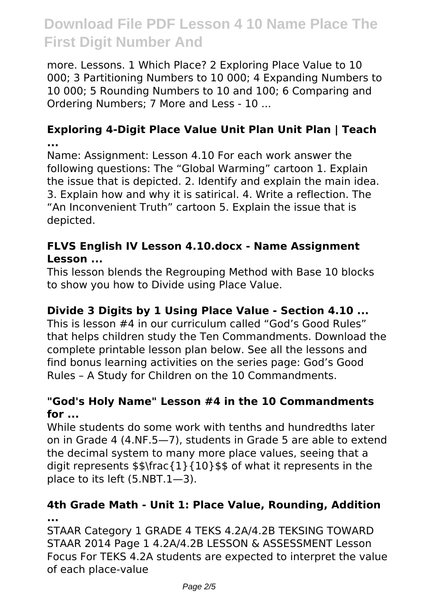more. Lessons. 1 Which Place? 2 Exploring Place Value to 10 000; 3 Partitioning Numbers to 10 000; 4 Expanding Numbers to 10 000; 5 Rounding Numbers to 10 and 100; 6 Comparing and Ordering Numbers; 7 More and Less - 10 ...

#### **Exploring 4-Digit Place Value Unit Plan Unit Plan | Teach ...**

Name: Assignment: Lesson 4.10 For each work answer the following questions: The "Global Warming" cartoon 1. Explain the issue that is depicted. 2. Identify and explain the main idea. 3. Explain how and why it is satirical. 4. Write a reflection. The "An Inconvenient Truth" cartoon 5. Explain the issue that is depicted.

#### **FLVS English IV Lesson 4.10.docx - Name Assignment Lesson ...**

This lesson blends the Regrouping Method with Base 10 blocks to show you how to Divide using Place Value.

# **Divide 3 Digits by 1 Using Place Value - Section 4.10 ...**

This is lesson #4 in our curriculum called "God's Good Rules" that helps children study the Ten Commandments. Download the complete printable lesson plan below. See all the lessons and find bonus learning activities on the series page: God's Good Rules – A Study for Children on the 10 Commandments.

#### **"God's Holy Name" Lesson #4 in the 10 Commandments for ...**

While students do some work with tenths and hundredths later on in Grade 4 (4.NF.5—7), students in Grade 5 are able to extend the decimal system to many more place values, seeing that a digit represents \$\$\frac{1}{10}\$\$ of what it represents in the place to its left (5.NBT.1—3).

#### **4th Grade Math - Unit 1: Place Value, Rounding, Addition ...**

STAAR Category 1 GRADE 4 TEKS 4.2A/4.2B TEKSING TOWARD STAAR 2014 Page 1 4.2A/4.2B LESSON & ASSESSMENT Lesson Focus For TEKS 4.2A students are expected to interpret the value of each place-value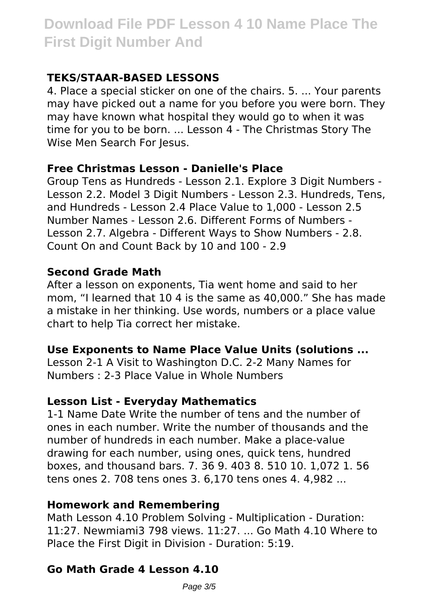# **TEKS/STAAR-BASED LESSONS**

4. Place a special sticker on one of the chairs. 5. ... Your parents may have picked out a name for you before you were born. They may have known what hospital they would go to when it was time for you to be born. ... Lesson 4 - The Christmas Story The Wise Men Search For Jesus.

# **Free Christmas Lesson - Danielle's Place**

Group Tens as Hundreds - Lesson 2.1. Explore 3 Digit Numbers - Lesson 2.2. Model 3 Digit Numbers - Lesson 2.3. Hundreds, Tens, and Hundreds - Lesson 2.4 Place Value to 1,000 - Lesson 2.5 Number Names - Lesson 2.6. Different Forms of Numbers - Lesson 2.7. Algebra - Different Ways to Show Numbers - 2.8. Count On and Count Back by 10 and 100 - 2.9

# **Second Grade Math**

After a lesson on exponents, Tia went home and said to her mom, "I learned that 10 4 is the same as 40,000." She has made a mistake in her thinking. Use words, numbers or a place value chart to help Tia correct her mistake.

# **Use Exponents to Name Place Value Units (solutions ...**

Lesson 2-1 A Visit to Washington D.C. 2-2 Many Names for Numbers : 2-3 Place Value in Whole Numbers

# **Lesson List - Everyday Mathematics**

1-1 Name Date Write the number of tens and the number of ones in each number. Write the number of thousands and the number of hundreds in each number. Make a place-value drawing for each number, using ones, quick tens, hundred boxes, and thousand bars. 7. 36 9. 403 8. 510 10. 1,072 1. 56 tens ones 2. 708 tens ones 3. 6,170 tens ones 4. 4,982 ...

# **Homework and Remembering**

Math Lesson 4.10 Problem Solving - Multiplication - Duration: 11:27. Newmiami3 798 views. 11:27. ... Go Math 4.10 Where to Place the First Digit in Division - Duration: 5:19.

# **Go Math Grade 4 Lesson 4.10**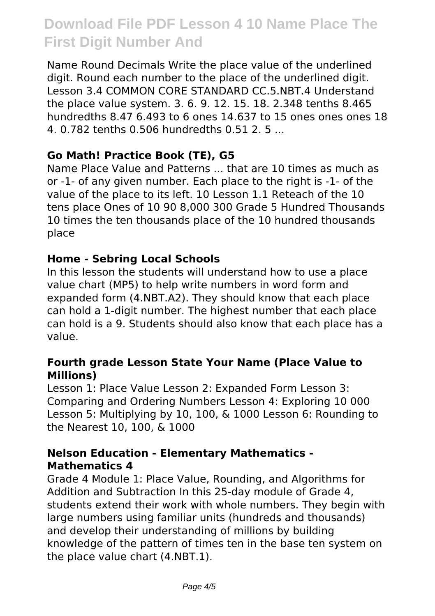Name Round Decimals Write the place value of the underlined digit. Round each number to the place of the underlined digit. Lesson 3.4 COMMON CORE STANDARD CC.5.NBT.4 Understand the place value system. 3. 6. 9. 12. 15. 18. 2.348 tenths 8.465 hundredths 8.47 6.493 to 6 ones 14.637 to 15 ones ones ones 18 4. 0.782 tenths 0.506 hundredths 0.51 2. 5 ...

#### **Go Math! Practice Book (TE), G5**

Name Place Value and Patterns ... that are 10 times as much as or -1- of any given number. Each place to the right is -1- of the value of the place to its left. 10 Lesson 1.1 Reteach of the 10 tens place Ones of 10 90 8,000 300 Grade 5 Hundred Thousands 10 times the ten thousands place of the 10 hundred thousands place

#### **Home - Sebring Local Schools**

In this lesson the students will understand how to use a place value chart (MP5) to help write numbers in word form and expanded form (4.NBT.A2). They should know that each place can hold a 1-digit number. The highest number that each place can hold is a 9. Students should also know that each place has a value.

#### **Fourth grade Lesson State Your Name (Place Value to Millions)**

Lesson 1: Place Value Lesson 2: Expanded Form Lesson 3: Comparing and Ordering Numbers Lesson 4: Exploring 10 000 Lesson 5: Multiplying by 10, 100, & 1000 Lesson 6: Rounding to the Nearest 10, 100, & 1000

#### **Nelson Education - Elementary Mathematics - Mathematics 4**

Grade 4 Module 1: Place Value, Rounding, and Algorithms for Addition and Subtraction In this 25-day module of Grade 4, students extend their work with whole numbers. They begin with large numbers using familiar units (hundreds and thousands) and develop their understanding of millions by building knowledge of the pattern of times ten in the base ten system on the place value chart (4.NBT.1).